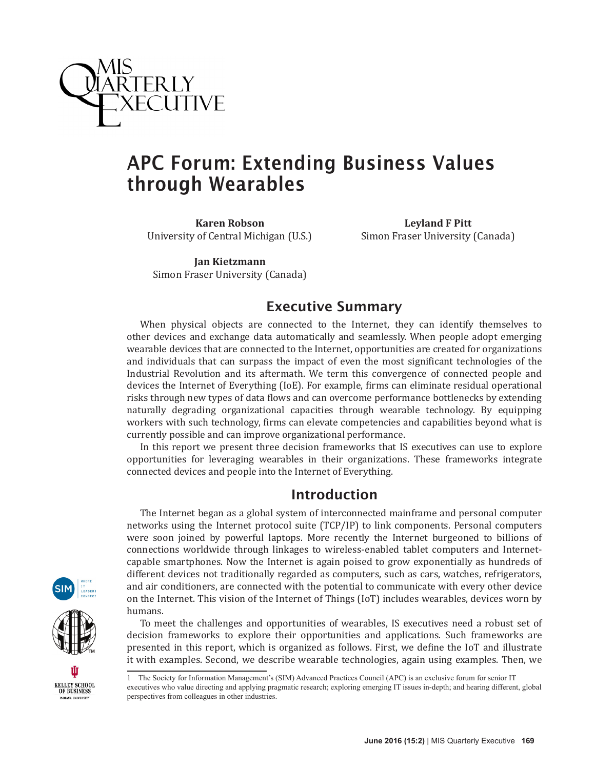

# APC Forum: Extending Business Values through Wearables

**Karen Robson** University of Central Michigan (U.S.)

**Leyland F Pitt** Simon Fraser University (Canada)

**Jan Kietzmann** Simon Fraser University (Canada)

## **Executive Summary**

When physical objects are connected to the Internet, they can identify themselves to other devices and exchange data automatically and seamlessly. When people adopt emerging wearable devices that are connected to the Internet, opportunities are created for organizations and individuals that can surpass the impact of even the most significant technologies of the Industrial Revolution and its aftermath. We term this convergence of connected people and devices the Internet of Everything (IoE). For example, firms can eliminate residual operational risks through new types of data flows and can overcome performance bottlenecks by extending naturally degrading organizational capacities through wearable technology. By equipping workers with such technology, firms can elevate competencies and capabilities beyond what is currently possible and can improve organizational performance.

In this report we present three decision frameworks that IS executives can use to explore opportunities for leveraging wearables in their organizations. These frameworks integrate connected devices and people into the Internet of Everything.

## Introduction

The Internet began as a global system of interconnected mainframe and personal computer networks using the Internet protocol suite (TCP/IP) to link components. Personal computers were soon joined by powerful laptops. More recently the Internet burgeoned to billions of connections worldwide through linkages to wireless-enabled tablet computers and Internetcapable smartphones. Now the Internet is again poised to grow exponentially as hundreds of different devices not traditionally regarded as computers, such as cars, watches, refrigerators, and air conditioners, are connected with the potential to communicate with every other device on the Internet. This vision of the Internet of Things (IoT) includes wearables, devices worn by humans.

To meet the challenges and opportunities of wearables, IS executives need a robust set of decision frameworks to explore their opportunities and applications. Such frameworks are presented in this report, which is organized as follows. First, we define the IoT and illustrate it with examples. Second, we describe wearable technologies, again using examples. Then, we

executives who value directing and applying pragmatic research; exploring emerging IT issues in-depth; and hearing different, global perspectives from colleagues in other industries.



<sup>1</sup> The Society for Information Management's (SIM) Advanced Practices Council (APC) is an exclusive forum for senior IT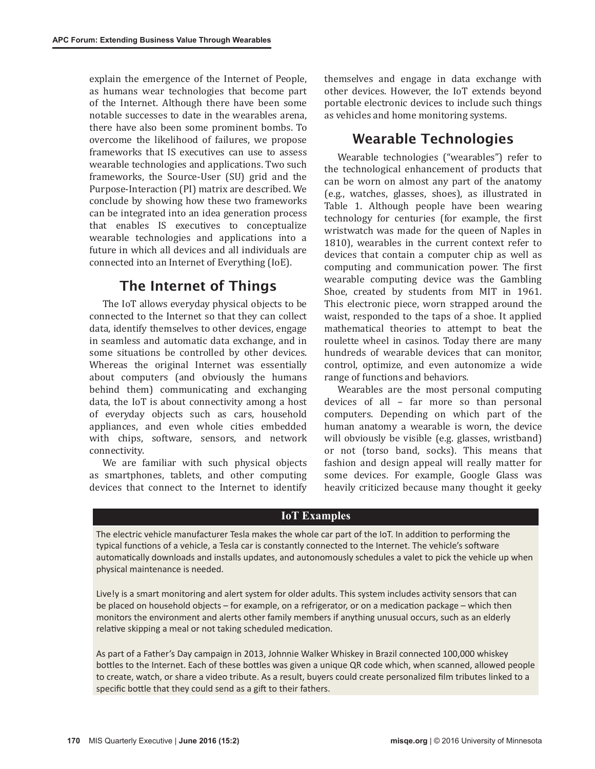explain the emergence of the Internet of People, as humans wear technologies that become part of the Internet. Although there have been some notable successes to date in the wearables arena, there have also been some prominent bombs. To overcome the likelihood of failures, we propose frameworks that IS executives can use to assess wearable technologies and applications. Two such frameworks, the Source-User (SU) grid and the Purpose-Interaction (PI) matrix are described. We conclude by showing how these two frameworks can be integrated into an idea generation process that enables IS executives to conceptualize wearable technologies and applications into a future in which all devices and all individuals are connected into an Internet of Everything (IoE).

### The Internet of Things

The IoT allows everyday physical objects to be connected to the Internet so that they can collect data, identify themselves to other devices, engage in seamless and automatic data exchange, and in some situations be controlled by other devices. Whereas the original Internet was essentially about computers (and obviously the humans behind them) communicating and exchanging data, the IoT is about connectivity among a host of everyday objects such as cars, household appliances, and even whole cities embedded with chips, software, sensors, and network connectivity.

We are familiar with such physical objects as smartphones, tablets, and other computing devices that connect to the Internet to identify themselves and engage in data exchange with other devices. However, the IoT extends beyond portable electronic devices to include such things as vehicles and home monitoring systems.

### Wearable Technologies

Wearable technologies ("wearables") refer to the technological enhancement of products that can be worn on almost any part of the anatomy (e.g., watches, glasses, shoes), as illustrated in Table 1. Although people have been wearing technology for centuries (for example, the first wristwatch was made for the queen of Naples in 1810), wearables in the current context refer to devices that contain a computer chip as well as computing and communication power. The first wearable computing device was the Gambling Shoe, created by students from MIT in 1961. This electronic piece, worn strapped around the waist, responded to the taps of a shoe. It applied mathematical theories to attempt to beat the roulette wheel in casinos. Today there are many hundreds of wearable devices that can monitor, control, optimize, and even autonomize a wide range of functions and behaviors.

Wearables are the most personal computing devices of all – far more so than personal computers. Depending on which part of the human anatomy a wearable is worn, the device will obviously be visible (e.g. glasses, wristband) or not (torso band, socks). This means that fashion and design appeal will really matter for some devices. For example, Google Glass was heavily criticized because many thought it geeky

#### **IoT Examples**

The electric vehicle manufacturer Tesla makes the whole car part of the IoT. In additon to performing the typical functons of a vehicle, a Tesla car is constantly connected to the Internet. The vehicle's sofware automatically downloads and installs updates, and autonomously schedules a valet to pick the vehicle up when physical maintenance is needed.

Live!y is a smart monitoring and alert system for older adults. This system includes activity sensors that can be placed on household objects – for example, on a refrigerator, or on a medication package – which then monitors the environment and alerts other family members if anything unusual occurs, such as an elderly relative skipping a meal or not taking scheduled medication.

As part of a Father's Day campaign in 2013, Johnnie Walker Whiskey in Brazil connected 100,000 whiskey bottles to the Internet. Each of these bottles was given a unique QR code which, when scanned, allowed people to create, watch, or share a video tribute. As a result, buyers could create personalized flm tributes linked to a specific bottle that they could send as a gift to their fathers.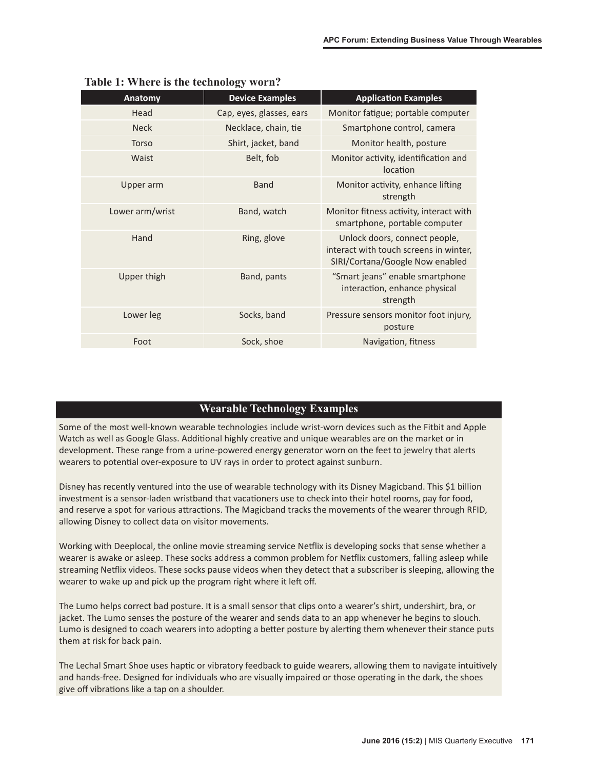| <b>Anatomy</b>  | <b>Device Examples</b>   | <b>Application Examples</b>                                                                                |
|-----------------|--------------------------|------------------------------------------------------------------------------------------------------------|
| Head            | Cap, eyes, glasses, ears | Monitor fatigue; portable computer                                                                         |
| <b>Neck</b>     | Necklace, chain, tie     | Smartphone control, camera                                                                                 |
| Torso           | Shirt, jacket, band      | Monitor health, posture                                                                                    |
| Waist           | Belt, fob                | Monitor activity, identification and<br>location                                                           |
| Upper arm       | <b>Band</b>              | Monitor activity, enhance lifting<br>strength                                                              |
| Lower arm/wrist | Band, watch              | Monitor fitness activity, interact with<br>smartphone, portable computer                                   |
| Hand            | Ring, glove              | Unlock doors, connect people,<br>interact with touch screens in winter,<br>SIRI/Cortana/Google Now enabled |
| Upper thigh     | Band, pants              | "Smart jeans" enable smartphone<br>interaction, enhance physical<br>strength                               |
| Lower leg       | Socks, band              | Pressure sensors monitor foot injury,<br>posture                                                           |
| Foot            | Sock, shoe               | Navigation, fitness                                                                                        |

#### **Table 1: Where is the technology worn?**

#### **Wearable Technology Examples**

Some of the most well-known wearable technologies include wrist-worn devices such as the Fitbit and Apple Watch as well as Google Glass. Additional highly creative and unique wearables are on the market or in development. These range from a urine-powered energy generator worn on the feet to jewelry that alerts wearers to potental over-exposure to UV rays in order to protect against sunburn.

Disney has recently ventured into the use of wearable technology with its Disney Magicband. This \$1 billion investment is a sensor-laden wristband that vacatoners use to check into their hotel rooms, pay for food, and reserve a spot for various attractions. The Magicband tracks the movements of the wearer through RFID, allowing Disney to collect data on visitor movements.

Working with Deeplocal, the online movie streaming service Netflix is developing socks that sense whether a wearer is awake or asleep. These socks address a common problem for Netlix customers, falling asleep while streaming Netlix videos. These socks pause videos when they detect that a subscriber is sleeping, allowing the wearer to wake up and pick up the program right where it left off.

The Lumo helps correct bad posture. It is a small sensor that clips onto a wearer's shirt, undershirt, bra, or jacket. The Lumo senses the posture of the wearer and sends data to an app whenever he begins to slouch. Lumo is designed to coach wearers into adopting a better posture by alerting them whenever their stance puts them at risk for back pain.

The Lechal Smart Shoe uses haptic or vibratory feedback to guide wearers, allowing them to navigate intuitively and hands-free. Designed for individuals who are visually impaired or those operatng in the dark, the shoes give off vibrations like a tap on a shoulder.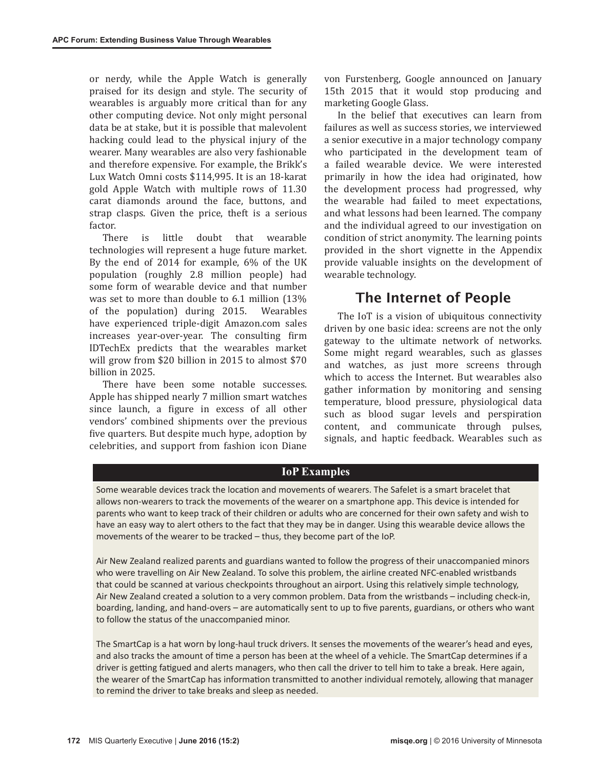or nerdy, while the Apple Watch is generally praised for its design and style. The security of wearables is arguably more critical than for any other computing device. Not only might personal data be at stake, but it is possible that malevolent hacking could lead to the physical injury of the wearer. Many wearables are also very fashionable and therefore expensive. For example, the Brikk's Lux Watch Omni costs \$114,995. It is an 18-karat gold Apple Watch with multiple rows of 11.30 carat diamonds around the face, buttons, and strap clasps. Given the price, theft is a serious factor.

There is little doubt that wearable technologies will represent a huge future market. By the end of 2014 for example, 6% of the UK population (roughly 2.8 million people) had some form of wearable device and that number was set to more than double to 6.1 million (13% of the population) during 2015. Wearables have experienced triple-digit Amazon.com sales increases year-over-year. The consulting firm IDTechEx predicts that the wearables market will grow from \$20 billion in 2015 to almost \$70 billion in 2025.

There have been some notable successes. Apple has shipped nearly 7 million smart watches since launch, a figure in excess of all other vendors' combined shipments over the previous five quarters. But despite much hype, adoption by celebrities, and support from fashion icon Diane

von Furstenberg, Google announced on January 15th 2015 that it would stop producing and marketing Google Glass.

In the belief that executives can learn from failures as well as success stories, we interviewed a senior executive in a major technology company who participated in the development team of a failed wearable device. We were interested primarily in how the idea had originated, how the development process had progressed, why the wearable had failed to meet expectations, and what lessons had been learned. The company and the individual agreed to our investigation on condition of strict anonymity. The learning points provided in the short vignette in the Appendix provide valuable insights on the development of wearable technology.

### The Internet of People

The IoT is a vision of ubiquitous connectivity driven by one basic idea: screens are not the only gateway to the ultimate network of networks. Some might regard wearables, such as glasses and watches, as just more screens through which to access the Internet. But wearables also gather information by monitoring and sensing temperature, blood pressure, physiological data such as blood sugar levels and perspiration content, and communicate through pulses, signals, and haptic feedback. Wearables such as

#### **IoP Examples**

Some wearable devices track the locaton and movements of wearers. The Safelet is a smart bracelet that allows non-wearers to track the movements of the wearer on a smartphone app. This device is intended for parents who want to keep track of their children or adults who are concerned for their own safety and wish to have an easy way to alert others to the fact that they may be in danger. Using this wearable device allows the movements of the wearer to be tracked – thus, they become part of the IoP.

Air New Zealand realized parents and guardians wanted to follow the progress of their unaccompanied minors who were travelling on Air New Zealand. To solve this problem, the airline created NFC-enabled wristbands that could be scanned at various checkpoints throughout an airport. Using this relatvely simple technology, Air New Zealand created a solution to a very common problem. Data from the wristbands – including check-in, boarding, landing, and hand-overs - are automatically sent to up to five parents, guardians, or others who want to follow the status of the unaccompanied minor.

The SmartCap is a hat worn by long-haul truck drivers. It senses the movements of the wearer's head and eyes, and also tracks the amount of time a person has been at the wheel of a vehicle. The SmartCap determines if a driver is getting fatigued and alerts managers, who then call the driver to tell him to take a break. Here again, the wearer of the SmartCap has information transmitted to another individual remotely, allowing that manager to remind the driver to take breaks and sleep as needed.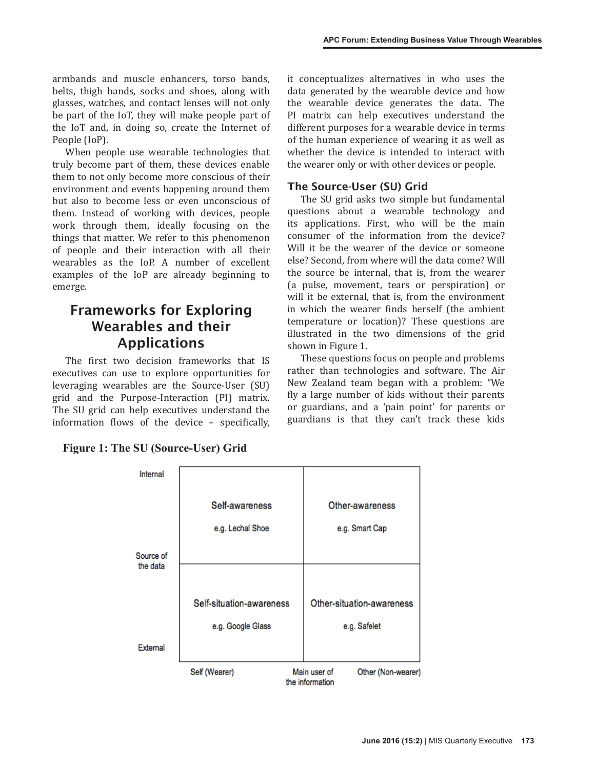armbands and muscle enhancers, torso bands, belts, thigh bands, socks and shoes, along with glasses, watches, and contact lenses will not only be part of the IoT, they will make people part of the IoT and, in doing so, create the Internet of People (IoP).

When people use wearable technologies that truly become part of them, these devices enable them to not only become more conscious of their environment and events happening around them but also to become less or even unconscious of them. Instead of working with devices, people work through them, ideally focusing on the things that matter. We refer to this phenomenon of people and their interaction with all their wearables as the IoP. A number of excellent examples of the IoP are already beginning to emerge.

# Frameworks for Exploring Wearables and their Applications

The first two decision frameworks that IS executives can use to explore opportunities for leveraging wearables are the Source-User (SU) grid and the Purpose-Interaction (PI) matrix. The SU grid can help executives understand the information flows of the device – specifically, it conceptualizes alternatives in who uses the data generated by the wearable device and how the wearable device generates the data. The PI matrix can help executives understand the different purposes for a wearable device in terms of the human experience of wearing it as well as whether the device is intended to interact with the wearer only or with other devices or people.

### The Source-User (SU) Grid

The SU grid asks two simple but fundamental questions about a wearable technology and its applications. First, who will be the main consumer of the information from the device? Will it be the wearer of the device or someone else? Second, from where will the data come? Will the source be internal, that is, from the wearer (a pulse, movement, tears or perspiration) or will it be external, that is, from the environment in which the wearer finds herself (the ambient temperature or location)? These questions are illustrated in the two dimensions of the grid shown in Figure 1.

These questions focus on people and problems rather than technologies and software. The Air New Zealand team began with a problem: "We fly a large number of kids without their parents or guardians, and a 'pain point' for parents or guardians is that they can't track these kids

| Internal              |                                                                       |                           |
|-----------------------|-----------------------------------------------------------------------|---------------------------|
|                       | Self-awareness                                                        | Other-awareness           |
|                       | e.g. Lechal Shoe                                                      | e.g. Smart Cap            |
| Source of<br>the data |                                                                       |                           |
|                       |                                                                       |                           |
|                       | Self-situation-awareness                                              | Other-situation-awareness |
|                       | e.g. Google Glass                                                     | e.g. Safelet              |
| External              |                                                                       |                           |
|                       | Main user of<br>Self (Wearer)<br>Other (Non-wearer<br>the information |                           |

#### **Figure 1: The SU (Source-User) Grid**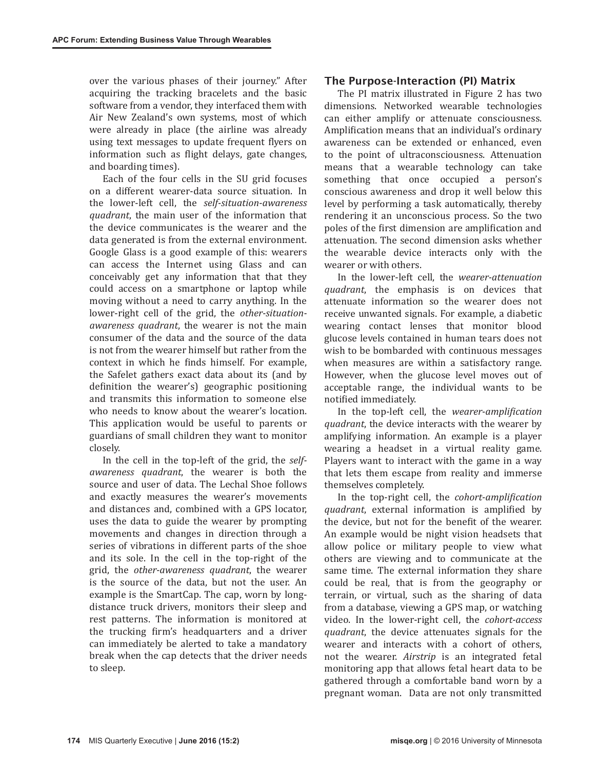over the various phases of their journey." After acquiring the tracking bracelets and the basic software from a vendor, they interfaced them with Air New Zealand's own systems, most of which were already in place (the airline was already using text messages to update frequent flyers on information such as flight delays, gate changes, and boarding times).

Each of the four cells in the SU grid focuses on a different wearer-data source situation. In the lower-left cell, the *self-situation-awareness quadrant*, the main user of the information that the device communicates is the wearer and the data generated is from the external environment. Google Glass is a good example of this: wearers can access the Internet using Glass and can conceivably get any information that that they could access on a smartphone or laptop while moving without a need to carry anything. In the lower-right cell of the grid, the *other-situationawareness quadrant*, the wearer is not the main consumer of the data and the source of the data is not from the wearer himself but rather from the context in which he finds himself. For example, the Safelet gathers exact data about its (and by definition the wearer's) geographic positioning and transmits this information to someone else who needs to know about the wearer's location. This application would be useful to parents or guardians of small children they want to monitor closely.

In the cell in the top-left of the grid, the *selfawareness quadrant*, the wearer is both the source and user of data. The Lechal Shoe follows and exactly measures the wearer's movements and distances and, combined with a GPS locator, uses the data to guide the wearer by prompting movements and changes in direction through a series of vibrations in different parts of the shoe and its sole. In the cell in the top-right of the grid, the *other-awareness quadrant*, the wearer is the source of the data, but not the user. An example is the SmartCap. The cap, worn by longdistance truck drivers, monitors their sleep and rest patterns. The information is monitored at the trucking firm's headquarters and a driver can immediately be alerted to take a mandatory break when the cap detects that the driver needs to sleep.

#### The Purpose-Interaction (PI) Matrix

The PI matrix illustrated in Figure 2 has two dimensions. Networked wearable technologies can either amplify or attenuate consciousness. Amplification means that an individual's ordinary awareness can be extended or enhanced, even to the point of ultraconsciousness. Attenuation means that a wearable technology can take something that once occupied a person's conscious awareness and drop it well below this level by performing a task automatically, thereby rendering it an unconscious process. So the two poles of the first dimension are amplification and attenuation. The second dimension asks whether the wearable device interacts only with the wearer or with others.

In the lower-left cell, the *wearer-attenuation quadrant*, the emphasis is on devices that attenuate information so the wearer does not receive unwanted signals. For example, a diabetic wearing contact lenses that monitor blood glucose levels contained in human tears does not wish to be bombarded with continuous messages when measures are within a satisfactory range. However, when the glucose level moves out of acceptable range, the individual wants to be notified immediately.

In the top-left cell, the *wearer-amplification quadrant*, the device interacts with the wearer by amplifying information. An example is a player wearing a headset in a virtual reality game. Players want to interact with the game in a way that lets them escape from reality and immerse themselves completely.

In the top-right cell, the *cohort-amplification quadrant*, external information is amplified by the device, but not for the benefit of the wearer. An example would be night vision headsets that allow police or military people to view what others are viewing and to communicate at the same time. The external information they share could be real, that is from the geography or terrain, or virtual, such as the sharing of data from a database, viewing a GPS map, or watching video. In the lower-right cell, the *cohort-access quadrant*, the device attenuates signals for the wearer and interacts with a cohort of others, not the wearer. *Airstrip* is an integrated fetal monitoring app that allows fetal heart data to be gathered through a comfortable band worn by a pregnant woman. Data are not only transmitted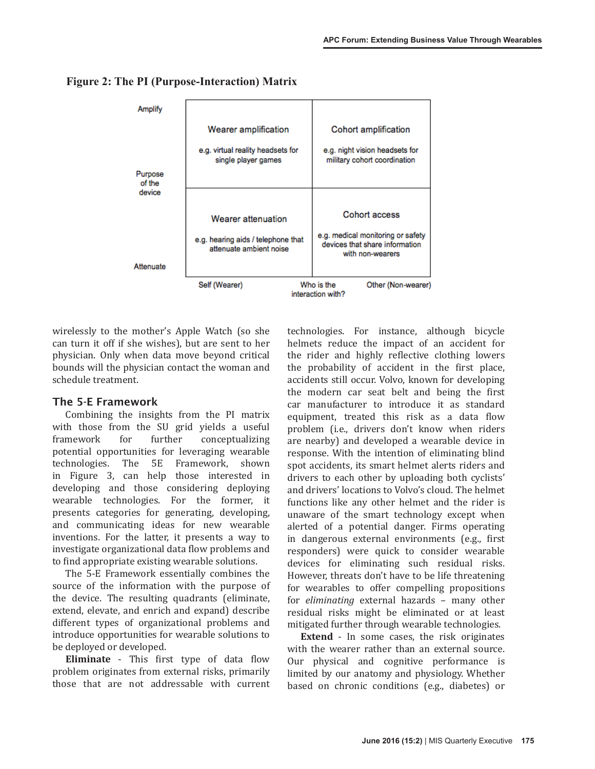

#### **Figure 2: The PI (Purpose-Interaction) Matrix**

wirelessly to the mother's Apple Watch (so she can turn it off if she wishes), but are sent to her physician. Only when data move beyond critical bounds will the physician contact the woman and schedule treatment.

#### The 5-E Framework

Combining the insights from the PI matrix with those from the SU grid yields a useful framework for further conceptualizing potential opportunities for leveraging wearable technologies. The 5E Framework, shown in Figure 3, can help those interested in developing and those considering deploying wearable technologies. For the former, it presents categories for generating, developing, and communicating ideas for new wearable inventions. For the latter, it presents a way to investigate organizational data flow problems and to find appropriate existing wearable solutions.

The 5-E Framework essentially combines the source of the information with the purpose of the device. The resulting quadrants (eliminate, extend, elevate, and enrich and expand) describe different types of organizational problems and introduce opportunities for wearable solutions to be deployed or developed.

**Eliminate** - This first type of data flow problem originates from external risks, primarily those that are not addressable with current technologies. For instance, although bicycle helmets reduce the impact of an accident for the rider and highly reflective clothing lowers the probability of accident in the first place, accidents still occur. Volvo, known for developing the modern car seat belt and being the first car manufacturer to introduce it as standard equipment, treated this risk as a data flow problem (i.e., drivers don't know when riders are nearby) and developed a wearable device in response. With the intention of eliminating blind spot accidents, its smart helmet alerts riders and drivers to each other by uploading both cyclists' and drivers' locations to Volvo's cloud. The helmet functions like any other helmet and the rider is unaware of the smart technology except when alerted of a potential danger. Firms operating in dangerous external environments (e.g., first responders) were quick to consider wearable devices for eliminating such residual risks. However, threats don't have to be life threatening for wearables to offer compelling propositions for *eliminating* external hazards – many other residual risks might be eliminated or at least mitigated further through wearable technologies.

**Extend** - In some cases, the risk originates with the wearer rather than an external source. Our physical and cognitive performance is limited by our anatomy and physiology. Whether based on chronic conditions (e.g., diabetes) or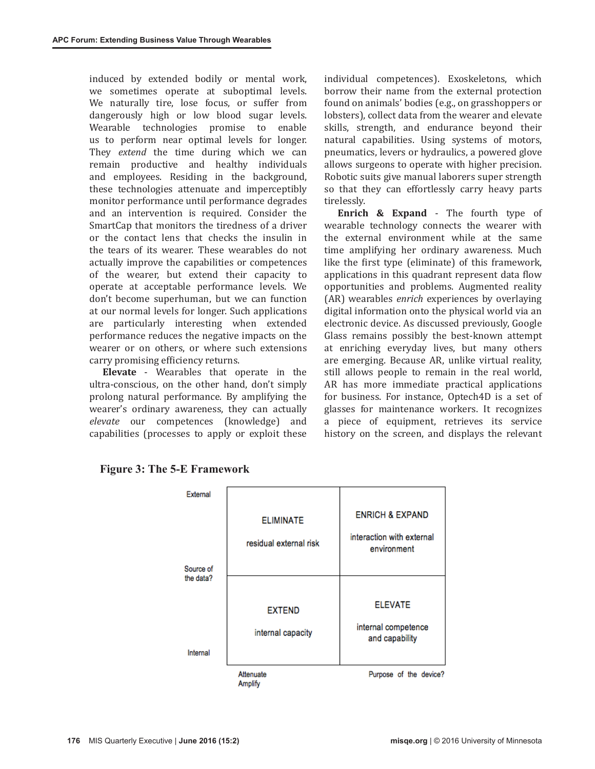induced by extended bodily or mental work, we sometimes operate at suboptimal levels. We naturally tire, lose focus, or suffer from dangerously high or low blood sugar levels. Wearable technologies promise to enable us to perform near optimal levels for longer. They *extend* the time during which we can remain productive and healthy individuals and employees. Residing in the background, these technologies attenuate and imperceptibly monitor performance until performance degrades and an intervention is required. Consider the SmartCap that monitors the tiredness of a driver or the contact lens that checks the insulin in the tears of its wearer. These wearables do not actually improve the capabilities or competences of the wearer, but extend their capacity to operate at acceptable performance levels. We don't become superhuman, but we can function at our normal levels for longer. Such applications are particularly interesting when extended performance reduces the negative impacts on the wearer or on others, or where such extensions carry promising efficiency returns.

**Elevate** - Wearables that operate in the ultra-conscious, on the other hand, don't simply prolong natural performance. By amplifying the wearer's ordinary awareness, they can actually *elevate* our competences (knowledge) and capabilities (processes to apply or exploit these

individual competences). Exoskeletons, which borrow their name from the external protection found on animals' bodies (e.g., on grasshoppers or lobsters), collect data from the wearer and elevate skills, strength, and endurance beyond their natural capabilities. Using systems of motors, pneumatics, levers or hydraulics, a powered glove allows surgeons to operate with higher precision. Robotic suits give manual laborers super strength so that they can effortlessly carry heavy parts tirelessly.

**Enrich & Expand** - The fourth type of wearable technology connects the wearer with the external environment while at the same time amplifying her ordinary awareness. Much like the first type (eliminate) of this framework, applications in this quadrant represent data flow opportunities and problems. Augmented reality (AR) wearables *enrich* experiences by overlaying digital information onto the physical world via an electronic device. As discussed previously, Google Glass remains possibly the best-known attempt at enriching everyday lives, but many others are emerging. Because AR, unlike virtual reality, still allows people to remain in the real world, AR has more immediate practical applications for business. For instance, Optech4D is a set of glasses for maintenance workers. It recognizes a piece of equipment, retrieves its service history on the screen, and displays the relevant



#### **Figure 3: The 5-E Framework**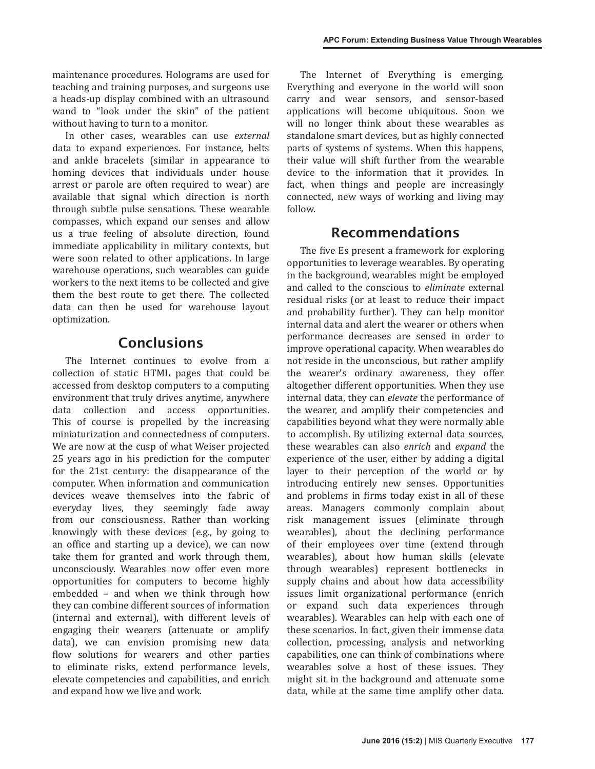maintenance procedures. Holograms are used for teaching and training purposes, and surgeons use a heads-up display combined with an ultrasound wand to "look under the skin" of the patient without having to turn to a monitor.

In other cases, wearables can use *external* data to expand experiences. For instance, belts and ankle bracelets (similar in appearance to homing devices that individuals under house arrest or parole are often required to wear) are available that signal which direction is north through subtle pulse sensations. These wearable compasses, which expand our senses and allow us a true feeling of absolute direction, found immediate applicability in military contexts, but were soon related to other applications. In large warehouse operations, such wearables can guide workers to the next items to be collected and give them the best route to get there. The collected data can then be used for warehouse layout optimization.

## Conclusions

The Internet continues to evolve from a collection of static HTML pages that could be accessed from desktop computers to a computing environment that truly drives anytime, anywhere data collection and access opportunities. This of course is propelled by the increasing miniaturization and connectedness of computers. We are now at the cusp of what Weiser projected 25 years ago in his prediction for the computer for the 21st century: the disappearance of the computer. When information and communication devices weave themselves into the fabric of everyday lives, they seemingly fade away from our consciousness. Rather than working knowingly with these devices (e.g., by going to an office and starting up a device), we can now take them for granted and work through them, unconsciously. Wearables now offer even more opportunities for computers to become highly embedded – and when we think through how they can combine different sources of information (internal and external), with different levels of engaging their wearers (attenuate or amplify data), we can envision promising new data flow solutions for wearers and other parties to eliminate risks, extend performance levels, elevate competencies and capabilities, and enrich and expand how we live and work.

The Internet of Everything is emerging. Everything and everyone in the world will soon carry and wear sensors, and sensor-based applications will become ubiquitous. Soon we will no longer think about these wearables as standalone smart devices, but as highly connected parts of systems of systems. When this happens, their value will shift further from the wearable device to the information that it provides. In fact, when things and people are increasingly connected, new ways of working and living may follow.

### Recommendations

The five Es present a framework for exploring opportunities to leverage wearables. By operating in the background, wearables might be employed and called to the conscious to *eliminate* external residual risks (or at least to reduce their impact and probability further). They can help monitor internal data and alert the wearer or others when performance decreases are sensed in order to improve operational capacity. When wearables do not reside in the unconscious, but rather amplify the wearer's ordinary awareness, they offer altogether different opportunities. When they use internal data, they can *elevate* the performance of the wearer, and amplify their competencies and capabilities beyond what they were normally able to accomplish. By utilizing external data sources, these wearables can also *enrich* and *expand* the experience of the user, either by adding a digital layer to their perception of the world or by introducing entirely new senses. Opportunities and problems in firms today exist in all of these areas. Managers commonly complain about risk management issues (eliminate through wearables), about the declining performance of their employees over time (extend through wearables), about how human skills (elevate through wearables) represent bottlenecks in supply chains and about how data accessibility issues limit organizational performance (enrich or expand such data experiences through wearables). Wearables can help with each one of these scenarios. In fact, given their immense data collection, processing, analysis and networking capabilities, one can think of combinations where wearables solve a host of these issues. They might sit in the background and attenuate some data, while at the same time amplify other data.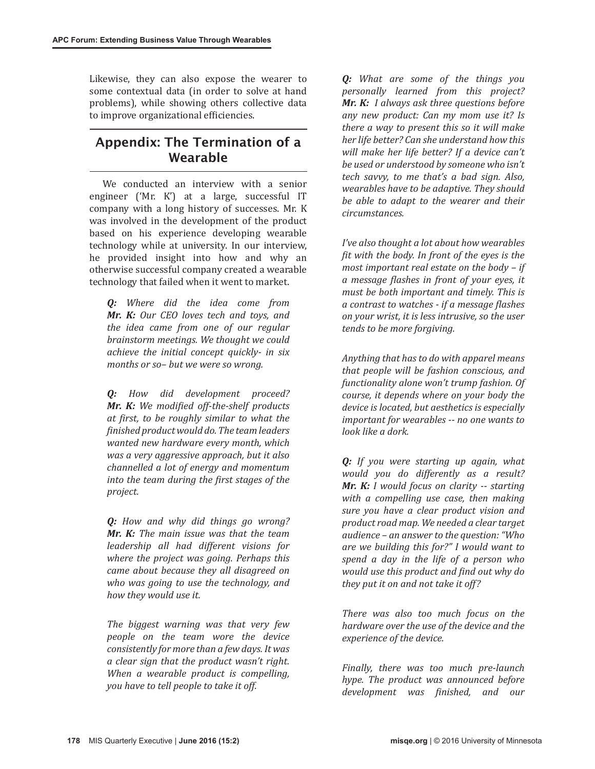Likewise, they can also expose the wearer to some contextual data (in order to solve at hand problems), while showing others collective data to improve organizational efficiencies.

### Appendix: The Termination of a Wearable

We conducted an interview with a senior engineer ('Mr. K') at a large, successful IT company with a long history of successes. Mr. K was involved in the development of the product based on his experience developing wearable technology while at university. In our interview, he provided insight into how and why an otherwise successful company created a wearable technology that failed when it went to market.

*Q: Where did the idea come from Mr. K: Our CEO loves tech and toys, and the idea came from one of our regular brainstorm meetings. We thought we could achieve the initial concept quickly- in six months or so– but we were so wrong.*

*Q: How did development proceed? Mr. K: We modified off-the-shelf products at first, to be roughly similar to what the finished product would do. The team leaders wanted new hardware every month, which was a very aggressive approach, but it also channelled a lot of energy and momentum into the team during the first stages of the project.*

*Q: How and why did things go wrong? Mr. K: The main issue was that the team leadership all had different visions for where the project was going. Perhaps this came about because they all disagreed on who was going to use the technology, and how they would use it.* 

*The biggest warning was that very few people on the team wore the device consistently for more than a few days. It was a clear sign that the product wasn't right. When a wearable product is compelling, you have to tell people to take it off.*

*Q: What are some of the things you personally learned from this project? Mr. K: I always ask three questions before any new product: Can my mom use it? Is there a way to present this so it will make her life better? Can she understand how this will make her life better? If a device can't be used or understood by someone who isn't tech savvy, to me that's a bad sign. Also, wearables have to be adaptive. They should be able to adapt to the wearer and their circumstances.*

*I've also thought a lot about how wearables fit with the body. In front of the eyes is the most important real estate on the body – if a message flashes in front of your eyes, it must be both important and timely. This is a contrast to watches - if a message flashes on your wrist, it is less intrusive, so the user tends to be more forgiving.* 

*Anything that has to do with apparel means that people will be fashion conscious, and functionality alone won't trump fashion. Of course, it depends where on your body the device is located, but aesthetics is especially important for wearables -- no one wants to look like a dork.*

*Q: If you were starting up again, what would you do differently as a result? Mr. K: I would focus on clarity -- starting with a compelling use case, then making sure you have a clear product vision and product road map. We needed a clear target audience – an answer to the question: "Who are we building this for?" I would want to spend a day in the life of a person who would use this product and find out why do they put it on and not take it off?*

*There was also too much focus on the hardware over the use of the device and the experience of the device.*

*Finally, there was too much pre-launch hype. The product was announced before development was finished, and our*